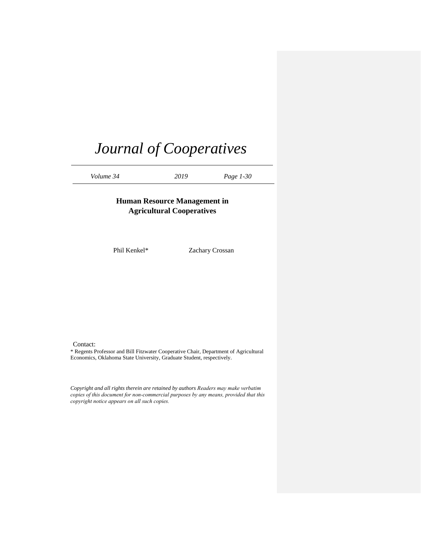*Volume 34 2019 Page 1-30*

# **Human Resource Management in Agricultural Cooperatives**

Phil Kenkel\* Zachary Crossan

Contact:

\* Regents Professor and Bill Fitzwater Cooperative Chair, Department of Agricultural Economics, Oklahoma State University, Graduate Student, respectively.

*Copyright and all rights therein are retained by authors Readers may make verbatim copies of this document for non-commercial purposes by any means, provided that this copyright notice appears on all such copies.*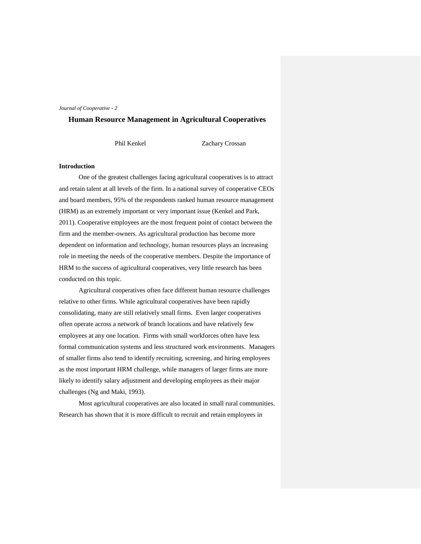#### **Human Resource Management in Agricultural Cooperatives**

Phil Kenkel Zachary Crossan

#### **Introduction**

One of the greatest challenges facing agricultural cooperatives is to attract and retain talent at all levels of the firm. In a national survey of cooperative CEOs and board members, 95% of the respondents ranked human resource management (HRM) as an extremely important or very important issue (Kenkel and Park, 2011). Cooperative employees are the most frequent point of contact between the firm and the member-owners. As agricultural production has become more dependent on information and technology, human resources plays an increasing role in meeting the needs of the cooperative members. Despite the importance of HRM to the success of agricultural cooperatives, very little research has been conducted on this topic.

Agricultural cooperatives often face different human resource challenges relative to other firms. While agricultural cooperatives have been rapidly consolidating, many are still relatively small firms. Even larger cooperatives often operate across a network of branch locations and have relatively few employees at any one location. Firms with small workforces often have less formal communication systems and less structured work environments. Managers of smaller firms also tend to identify recruiting, screening, and hiring employees as the most important HRM challenge, while managers of larger firms are more likely to identify salary adjustment and developing employees as their major challenges (Ng and Maki, 1993).

Most agricultural cooperatives are also located in small rural communities. Research has shown that it is more difficult to recruit and retain employees in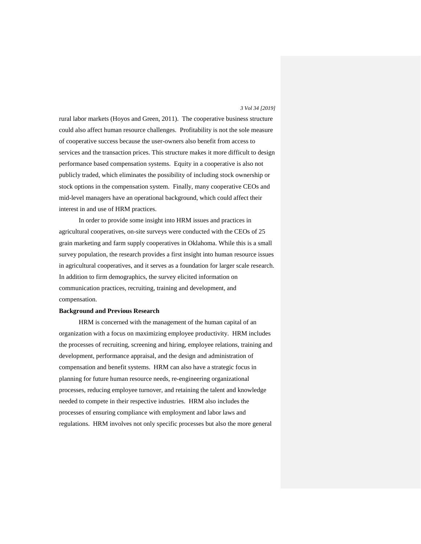rural labor markets (Hoyos and Green, 2011). The cooperative business structure could also affect human resource challenges. Profitability is not the sole measure of cooperative success because the user-owners also benefit from access to services and the transaction prices. This structure makes it more difficult to design performance based compensation systems. Equity in a cooperative is also not publicly traded, which eliminates the possibility of including stock ownership or stock options in the compensation system. Finally, many cooperative CEOs and mid-level managers have an operational background, which could affect their interest in and use of HRM practices.

In order to provide some insight into HRM issues and practices in agricultural cooperatives, on-site surveys were conducted with the CEOs of 25 grain marketing and farm supply cooperatives in Oklahoma. While this is a small survey population, the research provides a first insight into human resource issues in agricultural cooperatives, and it serves as a foundation for larger scale research. In addition to firm demographics, the survey elicited information on communication practices, recruiting, training and development, and compensation.

#### **Background and Previous Research**

HRM is concerned with the management of the human capital of an organization with a focus on maximizing employee productivity. HRM includes the processes of recruiting, screening and hiring, employee relations, training and development, performance appraisal, and the design and administration of compensation and benefit systems. HRM can also have a strategic focus in planning for future human resource needs, re-engineering organizational processes, reducing employee turnover, and retaining the talent and knowledge needed to compete in their respective industries. HRM also includes the processes of ensuring compliance with employment and labor laws and regulations. HRM involves not only specific processes but also the more general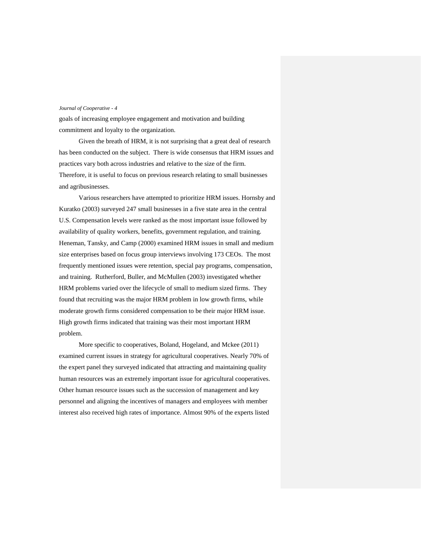goals of increasing employee engagement and motivation and building commitment and loyalty to the organization.

Given the breath of HRM, it is not surprising that a great deal of research has been conducted on the subject. There is wide consensus that HRM issues and practices vary both across industries and relative to the size of the firm. Therefore, it is useful to focus on previous research relating to small businesses and agribusinesses.

Various researchers have attempted to prioritize HRM issues. Hornsby and Kuratko (2003) surveyed 247 small businesses in a five state area in the central U.S. Compensation levels were ranked as the most important issue followed by availability of quality workers, benefits, government regulation, and training. Heneman, Tansky, and Camp (2000) examined HRM issues in small and medium size enterprises based on focus group interviews involving 173 CEOs. The most frequently mentioned issues were retention, special pay programs, compensation, and training. Rutherford, Buller, and McMullen (2003) investigated whether HRM problems varied over the lifecycle of small to medium sized firms. They found that recruiting was the major HRM problem in low growth firms, while moderate growth firms considered compensation to be their major HRM issue. High growth firms indicated that training was their most important HRM problem.

More specific to cooperatives, Boland, Hogeland, and Mckee (2011) examined current issues in strategy for agricultural cooperatives. Nearly 70% of the expert panel they surveyed indicated that attracting and maintaining quality human resources was an extremely important issue for agricultural cooperatives. Other human resource issues such as the succession of management and key personnel and aligning the incentives of managers and employees with member interest also received high rates of importance. Almost 90% of the experts listed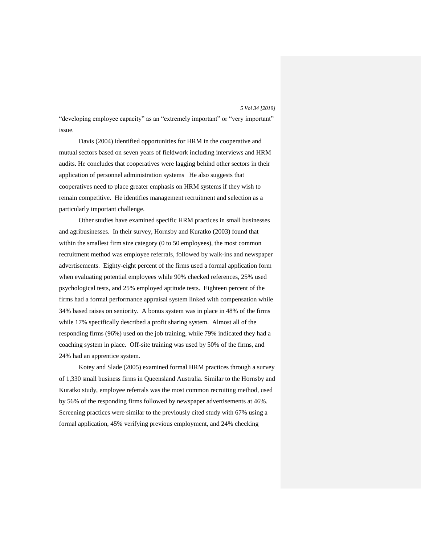"developing employee capacity" as an "extremely important" or "very important" issue.

Davis (2004) identified opportunities for HRM in the cooperative and mutual sectors based on seven years of fieldwork including interviews and HRM audits. He concludes that cooperatives were lagging behind other sectors in their application of personnel administration systems He also suggests that cooperatives need to place greater emphasis on HRM systems if they wish to remain competitive. He identifies management recruitment and selection as a particularly important challenge.

Other studies have examined specific HRM practices in small businesses and agribusinesses. In their survey, Hornsby and Kuratko (2003) found that within the smallest firm size category (0 to 50 employees), the most common recruitment method was employee referrals, followed by walk-ins and newspaper advertisements. Eighty-eight percent of the firms used a formal application form when evaluating potential employees while 90% checked references, 25% used psychological tests, and 25% employed aptitude tests. Eighteen percent of the firms had a formal performance appraisal system linked with compensation while 34% based raises on seniority. A bonus system was in place in 48% of the firms while 17% specifically described a profit sharing system. Almost all of the responding firms (96%) used on the job training, while 79% indicated they had a coaching system in place. Off-site training was used by 50% of the firms, and 24% had an apprentice system.

Kotey and Slade (2005) examined formal HRM practices through a survey of 1,330 small business firms in Queensland Australia. Similar to the Hornsby and Kuratko study, employee referrals was the most common recruiting method, used by 56% of the responding firms followed by newspaper advertisements at 46%. Screening practices were similar to the previously cited study with 67% using a formal application, 45% verifying previous employment, and 24% checking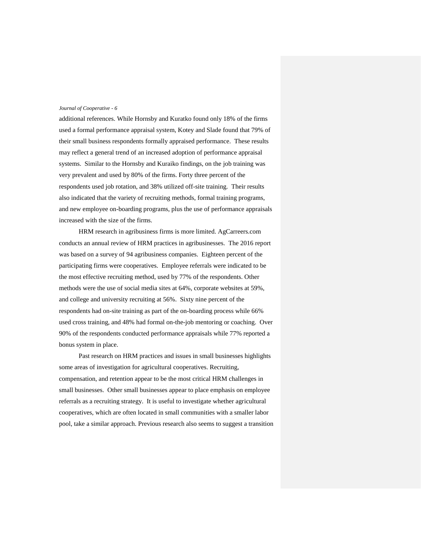additional references. While Hornsby and Kuratko found only 18% of the firms used a formal performance appraisal system, Kotey and Slade found that 79% of their small business respondents formally appraised performance. These results may reflect a general trend of an increased adoption of performance appraisal systems. Similar to the Hornsby and Kuraiko findings, on the job training was very prevalent and used by 80% of the firms. Forty three percent of the respondents used job rotation, and 38% utilized off-site training. Their results also indicated that the variety of recruiting methods, formal training programs, and new employee on-boarding programs, plus the use of performance appraisals increased with the size of the firms.

HRM research in agribusiness firms is more limited. AgCarreers.com conducts an annual review of HRM practices in agribusinesses. The 2016 report was based on a survey of 94 agribusiness companies. Eighteen percent of the participating firms were cooperatives. Employee referrals were indicated to be the most effective recruiting method, used by 77% of the respondents. Other methods were the use of social media sites at 64%, corporate websites at 59%, and college and university recruiting at 56%. Sixty nine percent of the respondents had on-site training as part of the on-boarding process while 66% used cross training, and 48% had formal on-the-job mentoring or coaching. Over 90% of the respondents conducted performance appraisals while 77% reported a bonus system in place.

Past research on HRM practices and issues in small businesses highlights some areas of investigation for agricultural cooperatives. Recruiting, compensation, and retention appear to be the most critical HRM challenges in small businesses. Other small businesses appear to place emphasis on employee referrals as a recruiting strategy. It is useful to investigate whether agricultural cooperatives, which are often located in small communities with a smaller labor pool, take a similar approach. Previous research also seems to suggest a transition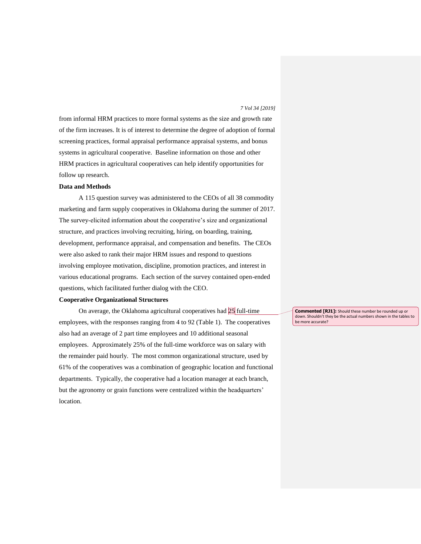from informal HRM practices to more formal systems as the size and growth rate of the firm increases. It is of interest to determine the degree of adoption of formal screening practices, formal appraisal performance appraisal systems, and bonus systems in agricultural cooperative. Baseline information on those and other HRM practices in agricultural cooperatives can help identify opportunities for follow up research.

#### **Data and Methods**

A 115 question survey was administered to the CEOs of all 38 commodity marketing and farm supply cooperatives in Oklahoma during the summer of 2017. The survey-elicited information about the cooperative's size and organizational structure, and practices involving recruiting, hiring, on boarding, training, development, performance appraisal, and compensation and benefits. The CEOs were also asked to rank their major HRM issues and respond to questions involving employee motivation, discipline, promotion practices, and interest in various educational programs. Each section of the survey contained open-ended questions, which facilitated further dialog with the CEO.

#### **Cooperative Organizational Structures**

On average, the Oklahoma agricultural cooperatives had 25 full-time employees, with the responses ranging from 4 to 92 (Table 1). The cooperatives also had an average of 2 part time employees and 10 additional seasonal employees. Approximately 25% of the full-time workforce was on salary with the remainder paid hourly. The most common organizational structure, used by 61% of the cooperatives was a combination of geographic location and functional departments. Typically, the cooperative had a location manager at each branch, but the agronomy or grain functions were centralized within the headquarters' location.

**Commented [RJ1]:** Should these number be rounded up or down. Shouldn't they be the actual numbers shown in the tables to be more accurate?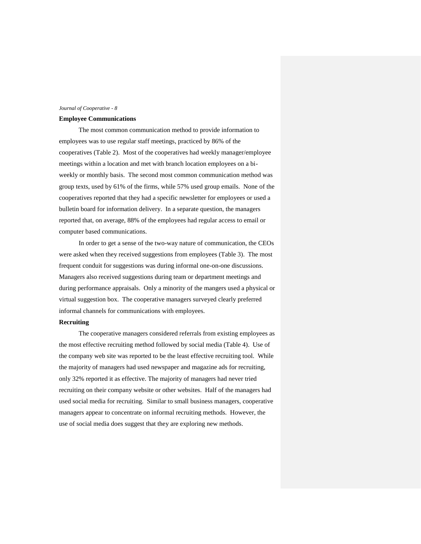#### **Employee Communications**

The most common communication method to provide information to employees was to use regular staff meetings, practiced by 86% of the cooperatives (Table 2). Most of the cooperatives had weekly manager/employee meetings within a location and met with branch location employees on a biweekly or monthly basis. The second most common communication method was group texts, used by 61% of the firms, while 57% used group emails. None of the cooperatives reported that they had a specific newsletter for employees or used a bulletin board for information delivery. In a separate question, the managers reported that, on average, 88% of the employees had regular access to email or computer based communications.

In order to get a sense of the two-way nature of communication, the CEOs were asked when they received suggestions from employees (Table 3). The most frequent conduit for suggestions was during informal one-on-one discussions. Managers also received suggestions during team or department meetings and during performance appraisals. Only a minority of the mangers used a physical or virtual suggestion box. The cooperative managers surveyed clearly preferred informal channels for communications with employees.

#### **Recruiting**

The cooperative managers considered referrals from existing employees as the most effective recruiting method followed by social media (Table 4). Use of the company web site was reported to be the least effective recruiting tool. While the majority of managers had used newspaper and magazine ads for recruiting, only 32% reported it as effective. The majority of managers had never tried recruiting on their company website or other websites. Half of the managers had used social media for recruiting. Similar to small business managers, cooperative managers appear to concentrate on informal recruiting methods. However, the use of social media does suggest that they are exploring new methods.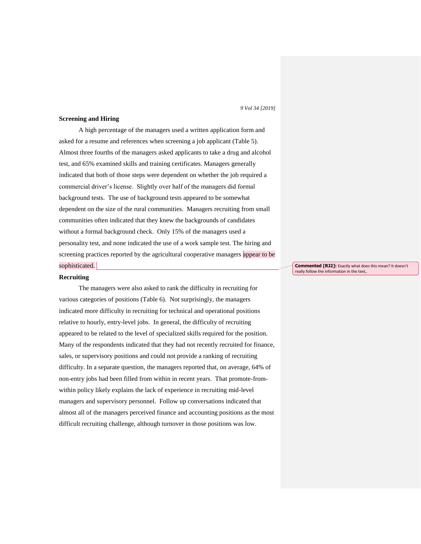# **Screening and Hiring**

A high percentage of the managers used a written application form and asked for a resume and references when screening a job applicant (Table 5). Almost three fourths of the managers asked applicants to take a drug and alcohol test, and 65% examined skills and training certificates. Managers generally indicated that both of those steps were dependent on whether the job required a commercial driver's license. Slightly over half of the managers did formal background tests. The use of background tests appeared to be somewhat dependent on the size of the rural communities. Managers recruiting from small communities often indicated that they knew the backgrounds of candidates without a formal background check. Only 15% of the managers used a personality test, and none indicated the use of a work sample test. The hiring and screening practices reported by the agricultural cooperative managers appear to be sophisticated.

#### **Recruiting**

The managers were also asked to rank the difficulty in recruiting for various categories of positions (Table 6). Not surprisingly, the managers indicated more difficulty in recruiting for technical and operational positions relative to hourly, entry-level jobs. In general, the difficulty of recruiting appeared to be related to the level of specialized skills required for the position. Many of the respondents indicated that they had not recently recruited for finance, sales, or supervisory positions and could not provide a ranking of recruiting difficulty. In a separate question, the managers reported that, on average, 64% of non-entry jobs had been filled from within in recent years. That promote-fromwithin policy likely explains the lack of experience in recruiting mid-level managers and supervisory personnel. Follow up conversations indicated that almost all of the managers perceived finance and accounting positions as the most difficult recruiting challenge, although turnover in those positions was low.

**Commented [RJ2]:** Exactly what does this mean? It doesn't really follow the information in the text,.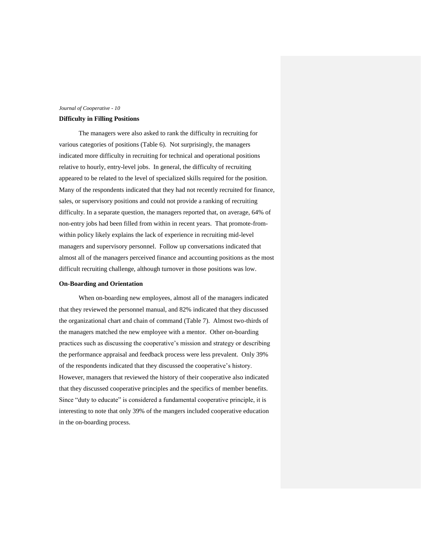#### **Difficulty in Filling Positions**

The managers were also asked to rank the difficulty in recruiting for various categories of positions (Table 6). Not surprisingly, the managers indicated more difficulty in recruiting for technical and operational positions relative to hourly, entry-level jobs. In general, the difficulty of recruiting appeared to be related to the level of specialized skills required for the position. Many of the respondents indicated that they had not recently recruited for finance, sales, or supervisory positions and could not provide a ranking of recruiting difficulty. In a separate question, the managers reported that, on average, 64% of non-entry jobs had been filled from within in recent years. That promote-fromwithin policy likely explains the lack of experience in recruiting mid-level managers and supervisory personnel. Follow up conversations indicated that almost all of the managers perceived finance and accounting positions as the most difficult recruiting challenge, although turnover in those positions was low.

#### **On-Boarding and Orientation**

When on-boarding new employees, almost all of the managers indicated that they reviewed the personnel manual, and 82% indicated that they discussed the organizational chart and chain of command (Table 7). Almost two-thirds of the managers matched the new employee with a mentor. Other on-boarding practices such as discussing the cooperative's mission and strategy or describing the performance appraisal and feedback process were less prevalent. Only 39% of the respondents indicated that they discussed the cooperative's history. However, managers that reviewed the history of their cooperative also indicated that they discussed cooperative principles and the specifics of member benefits. Since "duty to educate" is considered a fundamental cooperative principle, it is interesting to note that only 39% of the mangers included cooperative education in the on-boarding process.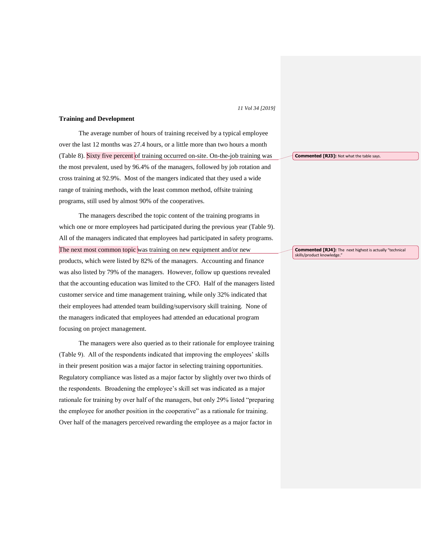#### **Training and Development**

The average number of hours of training received by a typical employee over the last 12 months was 27.4 hours, or a little more than two hours a month (Table 8). Sixty five percent of training occurred on-site. On-the-job training was the most prevalent, used by 96.4% of the managers, followed by job rotation and cross training at 92.9%. Most of the mangers indicated that they used a wide range of training methods, with the least common method, offsite training programs, still used by almost 90% of the cooperatives.

The managers described the topic content of the training programs in which one or more employees had participated during the previous year (Table 9). All of the managers indicated that employees had participated in safety programs. The next most common topic was training on new equipment and/or new products, which were listed by 82% of the managers. Accounting and finance was also listed by 79% of the managers. However, follow up questions revealed that the accounting education was limited to the CFO. Half of the managers listed customer service and time management training, while only 32% indicated that their employees had attended team building/supervisory skill training. None of the managers indicated that employees had attended an educational program focusing on project management.

The managers were also queried as to their rationale for employee training (Table 9). All of the respondents indicated that improving the employees' skills in their present position was a major factor in selecting training opportunities. Regulatory compliance was listed as a major factor by slightly over two thirds of the respondents. Broadening the employee's skill set was indicated as a major rationale for training by over half of the managers, but only 29% listed "preparing the employee for another position in the cooperative" as a rationale for training. Over half of the managers perceived rewarding the employee as a major factor in

**Commented [RJ3]:** Not what the table says.

**Commented [RJ4]:** The next highest is actually "technical skills/product knowledge."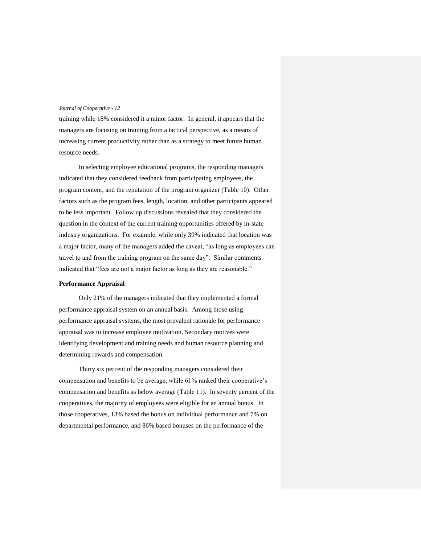training while 18% considered it a minor factor. In general, it appears that the managers are focusing on training from a tactical perspective, as a means of increasing current productivity rather than as a strategy to meet future human resource needs.

In selecting employee educational programs, the responding managers indicated that they considered feedback from participating employees, the program content, and the reputation of the program organizer (Table 10). Other factors such as the program fees, length, location, and other participants appeared to be less important. Follow up discussions revealed that they considered the question in the context of the current training opportunities offered by in-state industry organizations. For example, while only 39% indicated that location was a major factor, many of the managers added the caveat, "as long as employees can travel to and from the training program on the same day". Similar comments indicated that "fees are not a major factor as long as they are reasonable."

#### **Performance Appraisal**

Only 21% of the managers indicated that they implemented a formal performance appraisal system on an annual basis. Among those using performance appraisal systems, the most prevalent rationale for performance appraisal was to increase employee motivation. Secondary motives were identifying development and training needs and human resource planning and determining rewards and compensation.

Thirty six percent of the responding managers considered their compensation and benefits to be average, while 61% ranked their cooperative's compensation and benefits as below average (Table 11). In seventy percent of the cooperatives, the majority of employees were eligible for an annual bonus. In those cooperatives, 13% based the bonus on individual performance and 7% on departmental performance, and 86% based bonuses on the performance of the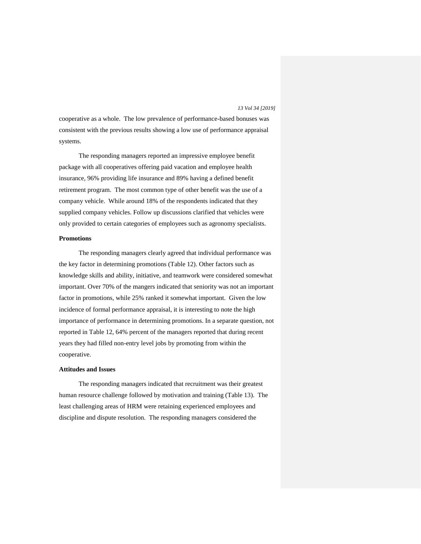cooperative as a whole. The low prevalence of performance-based bonuses was consistent with the previous results showing a low use of performance appraisal systems.

The responding managers reported an impressive employee benefit package with all cooperatives offering paid vacation and employee health insurance, 96% providing life insurance and 89% having a defined benefit retirement program. The most common type of other benefit was the use of a company vehicle. While around 18% of the respondents indicated that they supplied company vehicles. Follow up discussions clarified that vehicles were only provided to certain categories of employees such as agronomy specialists.

#### **Promotions**

The responding managers clearly agreed that individual performance was the key factor in determining promotions (Table 12). Other factors such as knowledge skills and ability, initiative, and teamwork were considered somewhat important. Over 70% of the mangers indicated that seniority was not an important factor in promotions, while 25% ranked it somewhat important. Given the low incidence of formal performance appraisal, it is interesting to note the high importance of performance in determining promotions. In a separate question, not reported in Table 12, 64% percent of the managers reported that during recent years they had filled non-entry level jobs by promoting from within the cooperative.

#### **Attitudes and Issues**

The responding managers indicated that recruitment was their greatest human resource challenge followed by motivation and training (Table 13). The least challenging areas of HRM were retaining experienced employees and discipline and dispute resolution. The responding managers considered the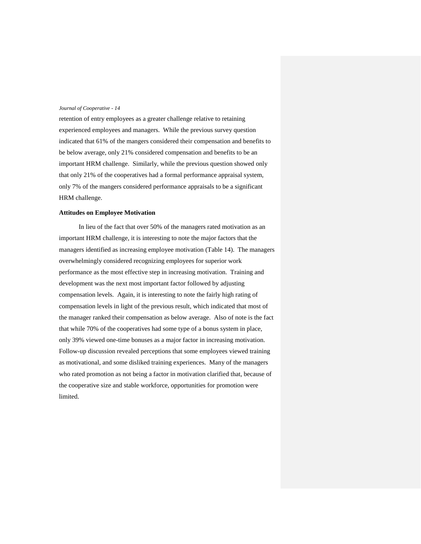retention of entry employees as a greater challenge relative to retaining experienced employees and managers. While the previous survey question indicated that 61% of the mangers considered their compensation and benefits to be below average, only 21% considered compensation and benefits to be an important HRM challenge. Similarly, while the previous question showed only that only 21% of the cooperatives had a formal performance appraisal system, only 7% of the mangers considered performance appraisals to be a significant HRM challenge.

#### **Attitudes on Employee Motivation**

In lieu of the fact that over 50% of the managers rated motivation as an important HRM challenge, it is interesting to note the major factors that the managers identified as increasing employee motivation (Table 14). The managers overwhelmingly considered recognizing employees for superior work performance as the most effective step in increasing motivation. Training and development was the next most important factor followed by adjusting compensation levels. Again, it is interesting to note the fairly high rating of compensation levels in light of the previous result, which indicated that most of the manager ranked their compensation as below average. Also of note is the fact that while 70% of the cooperatives had some type of a bonus system in place, only 39% viewed one-time bonuses as a major factor in increasing motivation. Follow-up discussion revealed perceptions that some employees viewed training as motivational, and some disliked training experiences. Many of the managers who rated promotion as not being a factor in motivation clarified that, because of the cooperative size and stable workforce, opportunities for promotion were limited.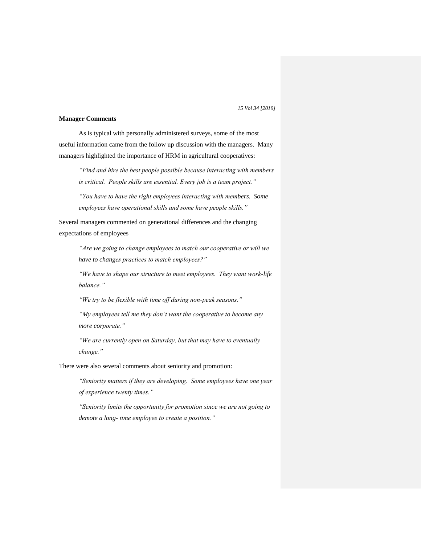#### **Manager Comments**

As is typical with personally administered surveys, some of the most useful information came from the follow up discussion with the managers. Many managers highlighted the importance of HRM in agricultural cooperatives:

*"Find and hire the best people possible because interacting with members is critical. People skills are essential. Every job is a team project."*

*"You have to have the right employees interacting with members. Some employees have operational skills and some have people skills."*

Several managers commented on generational differences and the changing expectations of employees

*"Are we going to change employees to match our cooperative or will we have to changes practices to match employees?"*

*"We have to shape our structure to meet employees. They want work-life balance."*

*"We try to be flexible with time off during non-peak seasons."*

*"My employees tell me they don't want the cooperative to become any more corporate."*

*"We are currently open on Saturday, but that may have to eventually change."*

There were also several comments about seniority and promotion:

*"Seniority matters if they are developing. Some employees have one year of experience twenty times."*

*"Seniority limits the opportunity for promotion since we are not going to demote a long- time employee to create a position."*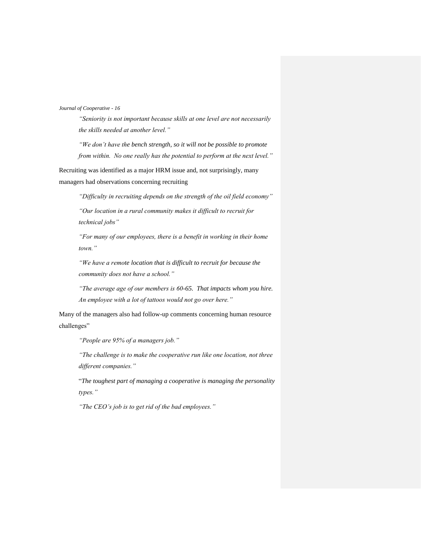*"Seniority is not important because skills at one level are not necessarily the skills needed at another level."*

*"We don't have the bench strength, so it will not be possible to promote from within. No one really has the potential to perform at the next level."*

Recruiting was identified as a major HRM issue and, not surprisingly, many managers had observations concerning recruiting

*"Difficulty in recruiting depends on the strength of the oil field economy"*

*"Our location in a rural community makes it difficult to recruit for technical jobs"*

*"For many of our employees, there is a benefit in working in their home town."*

*"We have a remote location that is difficult to recruit for because the community does not have a school."*

*"The average age of our members is 60-65. That impacts whom you hire. An employee with a lot of tattoos would not go over here."*

Many of the managers also had follow-up comments concerning human resource challenges"

*"People are 95% of a managers job."*

*"The challenge is to make the cooperative run like one location, not three different companies."*

"*The toughest part of managing a cooperative is managing the personality types."*

*"The CEO's job is to get rid of the bad employees."*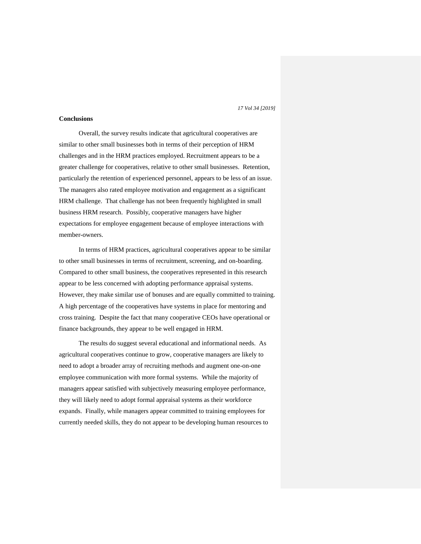#### **Conclusions**

Overall, the survey results indicate that agricultural cooperatives are similar to other small businesses both in terms of their perception of HRM challenges and in the HRM practices employed. Recruitment appears to be a greater challenge for cooperatives, relative to other small businesses. Retention, particularly the retention of experienced personnel, appears to be less of an issue. The managers also rated employee motivation and engagement as a significant HRM challenge. That challenge has not been frequently highlighted in small business HRM research. Possibly, cooperative managers have higher expectations for employee engagement because of employee interactions with member-owners.

In terms of HRM practices, agricultural cooperatives appear to be similar to other small businesses in terms of recruitment, screening, and on-boarding. Compared to other small business, the cooperatives represented in this research appear to be less concerned with adopting performance appraisal systems. However, they make similar use of bonuses and are equally committed to training. A high percentage of the cooperatives have systems in place for mentoring and cross training. Despite the fact that many cooperative CEOs have operational or finance backgrounds, they appear to be well engaged in HRM.

The results do suggest several educational and informational needs. As agricultural cooperatives continue to grow, cooperative managers are likely to need to adopt a broader array of recruiting methods and augment one-on-one employee communication with more formal systems. While the majority of managers appear satisfied with subjectively measuring employee performance, they will likely need to adopt formal appraisal systems as their workforce expands. Finally, while managers appear committed to training employees for currently needed skills, they do not appear to be developing human resources to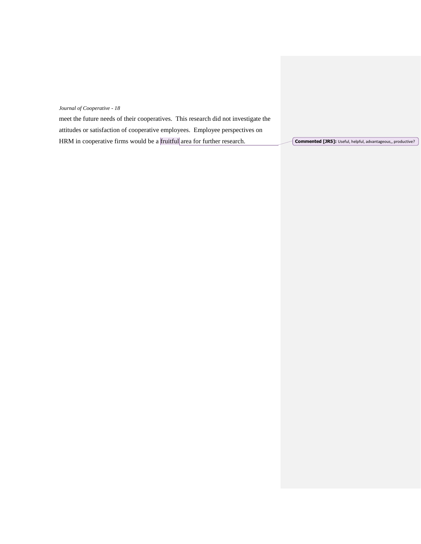| meet the future needs of their cooperatives. This research did not investigate the |                                                                     |
|------------------------------------------------------------------------------------|---------------------------------------------------------------------|
| attitudes or satisfaction of cooperative employees. Employee perspectives on       |                                                                     |
| HRM in cooperative firms would be a fruitful area for further research.            | <b>Commented [JR5]:</b> Useful, helpful, advantageous,, productive? |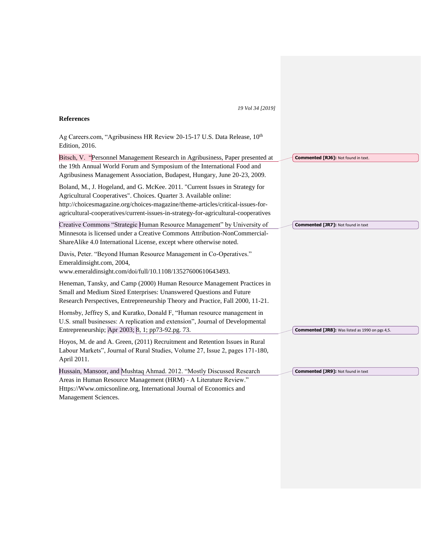# **References**

Ag Careers.com, "Agribusiness HR Review 20-15-17 U.S. Data Release, 10th Edition, 2016.

| Bitsch, V. "Personnel Management Research in Agribusiness, Paper presented at                                                                                                                                                                                                                                              | <b>Commented [RJ6]: Not found in text.</b>             |
|----------------------------------------------------------------------------------------------------------------------------------------------------------------------------------------------------------------------------------------------------------------------------------------------------------------------------|--------------------------------------------------------|
| the 19th Annual World Forum and Symposium of the International Food and<br>Agribusiness Management Association, Budapest, Hungary, June 20-23, 2009.                                                                                                                                                                       |                                                        |
| Boland, M., J. Hogeland, and G. McKee. 2011. "Current Issues in Strategy for<br>Agricultural Cooperatives". Choices. Quarter 3. Available online:<br>http://choicesmagazine.org/choices-magazine/theme-articles/critical-issues-for-<br>agricultural-cooperatives/current-issues-in-strategy-for-agricultural-cooperatives |                                                        |
| Creative Commons "Strategic Human Resource Management" by University of<br>Minnesota is licensed under a Creative Commons Attribution-NonCommercial-<br>ShareAlike 4.0 International License, except where otherwise noted.                                                                                                | <b>Commented [JR7]: Not found in text</b>              |
| Davis, Peter. "Beyond Human Resource Management in Co-Operatives."<br>Emeraldinsight.com, 2004,<br>www.emeraldinsight.com/doi/full/10.1108/13527600610643493.                                                                                                                                                              |                                                        |
| Heneman, Tansky, and Camp (2000) Human Resource Management Practices in<br>Small and Medium Sized Enterprises: Unanswered Questions and Future<br>Research Perspectives, Entrepreneurship Theory and Practice, Fall 2000, 11-21.                                                                                           |                                                        |
| Hornsby, Jeffrey S, and Kuratko, Donald F, "Human resource management in<br>U.S. small businesses: A replication and extension", Journal of Developmental<br>Entrepreneurship; Apr 2003; 8, 1; pp73-92.pg. 73.                                                                                                             | <b>Commented [JR8]:</b> Was listed as 1990 on pgs 4,5. |
| Hoyos, M. de and A. Green, (2011) Recruitment and Retention Issues in Rural<br>Labour Markets", Journal of Rural Studies, Volume 27, Issue 2, pages 171-180,<br>April 2011.                                                                                                                                                |                                                        |
| Hussain, Mansoor, and Mushtaq Ahmad. 2012. "Mostly Discussed Research<br>Areas in Human Resource Management (HRM) - A Literature Review."<br>Https://Www.omicsonline.org, International Journal of Economics and                                                                                                           | <b>Commented [JR9]: Not found in text</b>              |
|                                                                                                                                                                                                                                                                                                                            |                                                        |

Management Sciences.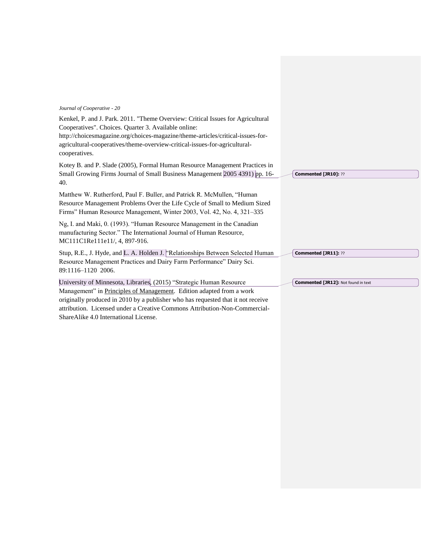Kenkel, P. and J. Park. 2011. "Theme Overview: Critical Issues for Agricultural Cooperatives". Choices. Quarter 3. Available online: http://choicesmagazine.org/choices-magazine/theme-articles/critical-issues-foragricultural-cooperatives/theme-overview-critical-issues-for-agriculturalcooperatives. Kotey B. and P. Slade (2005), Formal Human Resource Management Practices in Small Growing Firms Journal of Small Business Management 2005 4391) pp. 16- 40. Matthew W. Rutherford, Paul F. Buller, and Patrick R. McMullen, "Human Resource Management Problems Over the Life Cycle of Small to Medium Sized Firms" Human Resource Management, Winter 2003, Vol. 42, No. 4, 321–335 Ng, I. and Maki, 0. (1993). "Human Resource Management in the Canadian manufacturing Sector." The International Journal of Human Resource, MC111C1Re111e11/, 4, 897-916. Stup, R.E., J. Hyde, and L. A. Holden J. "Relationships Between Selected Human Resource Management Practices and Dairy Farm Performance" Dairy Sci. 89:1116–1120 2006. University of Minnesota, Libraries, (2015) "Strategic Human Resource Management" in Principles of Management. Edition adapted from a work originally produced in 2010 by a publisher who has requested that it not receive attribution. Licensed under a Creative Commons Attribution-Non-Commercial-**Commented [JR10]:** ?? **Commented [JR11]:** ?? **Commented [JR12]:** Not found in text

ShareAlike 4.0 International License.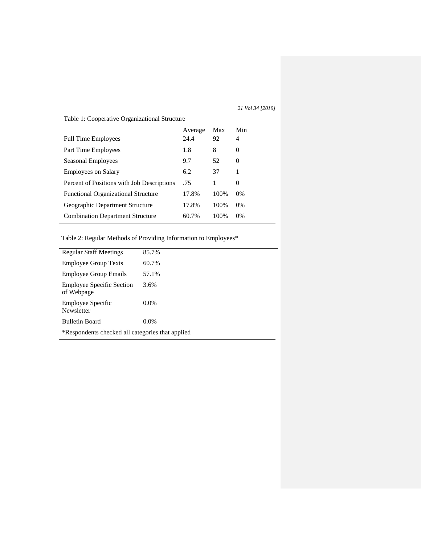# Average Max Min Full Time Employees 24.4 92 4 Part Time Employees 1.8 8 0 Seasonal Employees 9.7 52 0 Employees on Salary 6.2 37 1 Percent of Positions with Job Descriptions .75 1 0 Functional Organizational Structure 17.8% 100% 0% Geographic Department Structure 17.8% 100% 0% Combination Department Structure 60.7% 100% 0%

#### Table 1: Cooperative Organizational Structure

Table 2: Regular Methods of Providing Information to Employees\*

| <b>Regular Staff Meetings</b>                    | 85.7%   |
|--------------------------------------------------|---------|
| <b>Employee Group Texts</b>                      | 60.7%   |
| <b>Employee Group Emails</b>                     | 57.1%   |
| <b>Employee Specific Section</b><br>of Webpage   | 3.6%    |
| Employee Specific<br>Newsletter                  | $0.0\%$ |
| <b>Bulletin Board</b>                            | $0.0\%$ |
| *Respondents checked all categories that applied |         |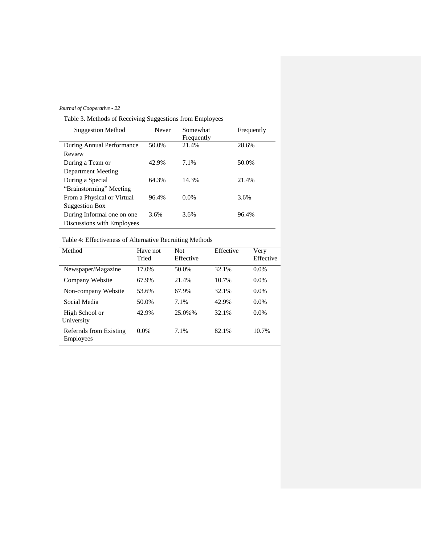Table 3. Methods of Receiving Suggestions from Employees

| <b>Suggestion Method</b>   | Never | Somewhat<br>Frequently | Frequently |
|----------------------------|-------|------------------------|------------|
| During Annual Performance  | 50.0% | 21.4%                  | 28.6%      |
| Review                     |       |                        |            |
| During a Team or           | 42.9% | 7.1%                   | 50.0%      |
| Department Meeting         |       |                        |            |
| During a Special           | 64.3% | 14.3%                  | 21.4%      |
| "Brainstorming" Meeting    |       |                        |            |
| From a Physical or Virtual | 96.4% | $0.0\%$                | 3.6%       |
| Suggestion Box             |       |                        |            |
| During Informal one on one | 3.6%  | 3.6%                   | 96.4%      |
| Discussions with Employees |       |                        |            |

# Table 4: Effectiveness of Alternative Recruiting Methods

| Method                               | Have not | <b>Not</b> | Effective | Very      |
|--------------------------------------|----------|------------|-----------|-----------|
|                                      | Tried    | Effective  |           | Effective |
| Newspaper/Magazine                   | 17.0%    | 50.0%      | 32.1%     | $0.0\%$   |
| Company Website                      | 67.9%    | 21.4%      | 10.7%     | $0.0\%$   |
| Non-company Website                  | 53.6%    | 67.9%      | 32.1%     | $0.0\%$   |
| Social Media                         | 50.0%    | 7.1%       | 42.9%     | $0.0\%$   |
| High School or<br>University         | 42.9%    | 25.0%%     | 32.1%     | $0.0\%$   |
| Referrals from Existing<br>Employees | 0.0%     | 7.1%       | 82.1%     | 10.7%     |
|                                      |          |            |           |           |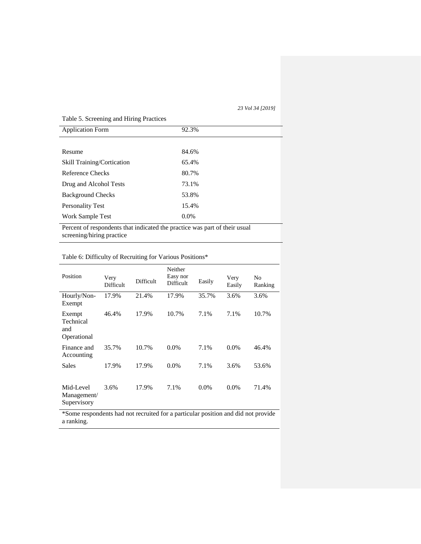# Table 5. Screening and Hiring Practices Application Form 92.3% Resume 84.6% Skill Training/Cortication 65.4% Reference Checks 80.7% Drug and Alcohol Tests 73.1% Background Checks 53.8% Personality Test 15.4% Work Sample Test 0.0% Percent of respondents that indicated the practice was part of their usual screening/hiring practice

# Table 6: Difficulty of Recruiting for Various Positions\*

| Position                                  | Very<br>Difficult | Difficult | Neither<br>Easy nor<br>Difficult | Easily  | Very<br>Easily | No<br>Ranking |
|-------------------------------------------|-------------------|-----------|----------------------------------|---------|----------------|---------------|
| Hourly/Non-<br>Exempt                     | 17.9%             | 21.4%     | 17.9%                            | 35.7%   | 3.6%           | 3.6%          |
| Exempt<br>Technical<br>and<br>Operational | 46.4%             | 17.9%     | 10.7%                            | 7.1%    | 7.1%           | 10.7%         |
| Finance and<br>Accounting                 | 35.7%             | 10.7%     | 0.0%                             | 7.1%    | $0.0\%$        | 46.4%         |
| <b>Sales</b>                              | 17.9%             | 17.9%     | $0.0\%$                          | 7.1%    | 3.6%           | 53.6%         |
| Mid-Level<br>Management/<br>Supervisory   | 3.6%              | 17.9%     | 7.1%                             | $0.0\%$ | $0.0\%$        | 71.4%         |

\*Some respondents had not recruited for a particular position and did not provide a ranking.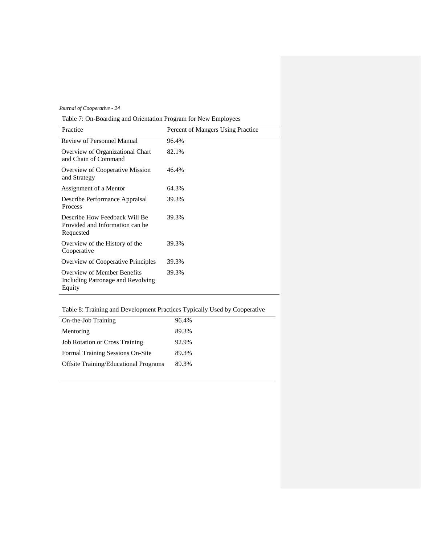Table 7: On-Boarding and Orientation Program for New Employees

| Practice                                                                      | Percent of Mangers Using Practice |
|-------------------------------------------------------------------------------|-----------------------------------|
| Review of Personnel Manual                                                    | 96.4%                             |
| Overview of Organizational Chart<br>and Chain of Command                      | 82.1%                             |
| Overview of Cooperative Mission<br>and Strategy                               | 46.4%                             |
| Assignment of a Mentor                                                        | 64.3%                             |
| Describe Performance Appraisal<br>Process                                     | 39.3%                             |
| Describe How Feedback Will Be<br>Provided and Information can be<br>Requested | 39.3%                             |
| Overview of the History of the<br>Cooperative                                 | 39.3%                             |
| <b>Overview of Cooperative Principles</b>                                     | 39.3%                             |
| Overview of Member Benefits<br>Including Patronage and Revolving<br>Equity    | 39.3%                             |

# Table 8: Training and Development Practices Typically Used by Cooperative

| On-the-Job Training                          | 96.4% |
|----------------------------------------------|-------|
| Mentoring                                    | 89.3% |
| <b>Job Rotation or Cross Training</b>        | 92.9% |
| Formal Training Sessions On-Site             | 89.3% |
| <b>Offsite Training/Educational Programs</b> | 89.3% |
|                                              |       |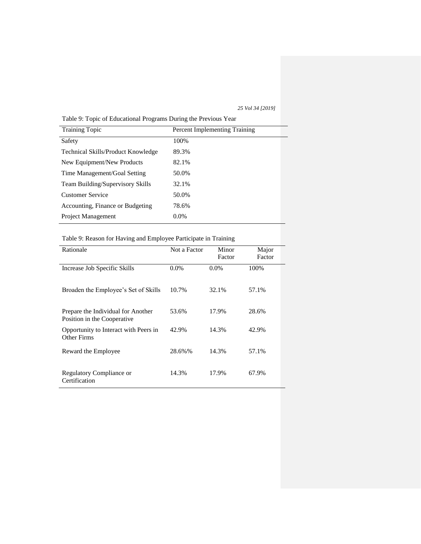Table 9: Topic of Educational Programs During the Previous Year

| <b>Training Topic</b>                     | <b>Percent Implementing Training</b> |
|-------------------------------------------|--------------------------------------|
| Safety                                    | 100%                                 |
| <b>Technical Skills/Product Knowledge</b> | 89.3%                                |
| New Equipment/New Products                | 82.1%                                |
| Time Management/Goal Setting              | 50.0%                                |
| Team Building/Supervisory Skills          | 32.1%                                |
| <b>Customer Service</b>                   | 50.0%                                |
| Accounting, Finance or Budgeting          | 78.6%                                |
| <b>Project Management</b>                 | $0.0\%$                              |

# Table 9: Reason for Having and Employee Participate in Training

| Rationale                                                         | Not a Factor | Minor<br>Factor | Major<br>Factor |
|-------------------------------------------------------------------|--------------|-----------------|-----------------|
| Increase Job Specific Skills                                      | $0.0\%$      | $0.0\%$         | 100%            |
| Broaden the Employee's Set of Skills                              | 10.7%        | 32.1%           | 57.1%           |
| Prepare the Individual for Another<br>Position in the Cooperative | 53.6%        | 17.9%           | 28.6%           |
| Opportunity to Interact with Peers in<br>Other Firms              | 42.9%        | 14.3%           | 42.9%           |
| Reward the Employee                                               | 28.6%%       | 14.3%           | 57.1%           |
| <b>Regulatory Compliance or</b><br>Certification                  | 14.3%        | 17.9%           | 67.9%           |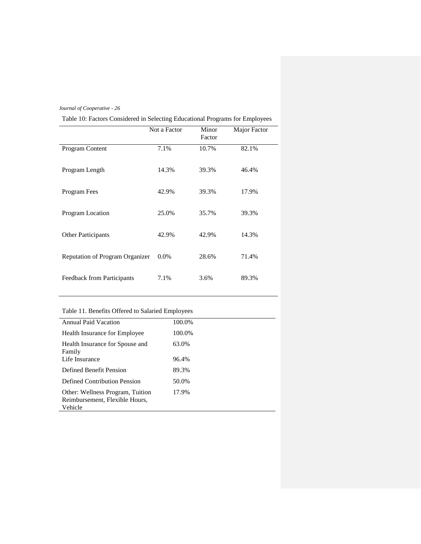| Table 10: Factors Considered in Selecting Educational Programs for Employees |  |  |
|------------------------------------------------------------------------------|--|--|
|------------------------------------------------------------------------------|--|--|

|                                   | Not a Factor | Minor<br>Factor | Major Factor |
|-----------------------------------|--------------|-----------------|--------------|
| Program Content                   | 7.1%         | 10.7%           | 82.1%        |
| Program Length                    | 14.3%        | 39.3%           | 46.4%        |
| Program Fees                      | 42.9%        | 39.3%           | 17.9%        |
| Program Location                  | 25.0%        | 35.7%           | 39.3%        |
| <b>Other Participants</b>         | 42.9%        | 42.9%           | 14.3%        |
| Reputation of Program Organizer   | $0.0\%$      | 28.6%           | 71.4%        |
| <b>Feedback from Participants</b> | 7.1%         | 3.6%            | 89.3%        |

# Table 11. Benefits Offered to Salaried Employees

| <b>Annual Paid Vacation</b>                                                   | 100.0% |
|-------------------------------------------------------------------------------|--------|
| <b>Health Insurance for Employee</b>                                          | 100.0% |
| Health Insurance for Spouse and<br>Family                                     | 63.0%  |
| Life Insurance                                                                | 96.4%  |
| Defined Benefit Pension                                                       | 89.3%  |
| Defined Contribution Pension                                                  | 50.0%  |
| Other: Wellness Program, Tuition<br>Reimbursement, Flexible Hours,<br>Vehicle | 17.9%  |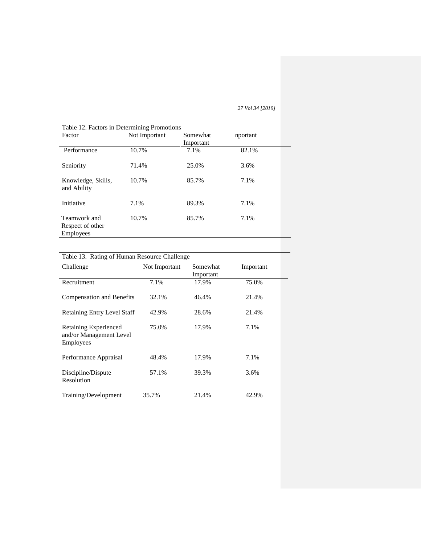| Table 12. Factors in Determining Promotions          |               |           |          |  |
|------------------------------------------------------|---------------|-----------|----------|--|
| Factor                                               | Not Important | Somewhat  | nportant |  |
|                                                      |               | Important |          |  |
| Performance                                          | 10.7%         | 7.1%      | 82.1%    |  |
| Seniority                                            | 71.4%         | 25.0%     | 3.6%     |  |
| Knowledge, Skills,<br>and Ability                    | 10.7%         | 85.7%     | 7.1%     |  |
| Initiative                                           | 7.1%          | 89.3%     | 7.1%     |  |
| Teamwork and<br>Respect of other<br><b>Employees</b> | 10.7%         | 85.7%     | 7.1%     |  |

# Table 12. Factors in Determining P

| Table 13. Rating of Human Resource Challenge                  |               |                       |           |  |  |  |
|---------------------------------------------------------------|---------------|-----------------------|-----------|--|--|--|
| Challenge                                                     | Not Important | Somewhat<br>Important | Important |  |  |  |
| Recruitment                                                   | 7.1%          | 17.9%                 | 75.0%     |  |  |  |
| Compensation and Benefits                                     | 32.1%         | 46.4%                 | 21.4%     |  |  |  |
| <b>Retaining Entry Level Staff</b>                            | 42.9%         | 28.6%                 | 21.4%     |  |  |  |
| Retaining Experienced<br>and/or Management Level<br>Employees | 75.0%         | 17.9%                 | 7.1%      |  |  |  |
| Performance Appraisal                                         | 48.4%         | 17.9%                 | 7.1%      |  |  |  |
| Discipline/Dispute<br>Resolution                              | 57.1%         | 39.3%                 | 3.6%      |  |  |  |
| Training/Development                                          | 35.7%         | 21.4%                 | 42.9%     |  |  |  |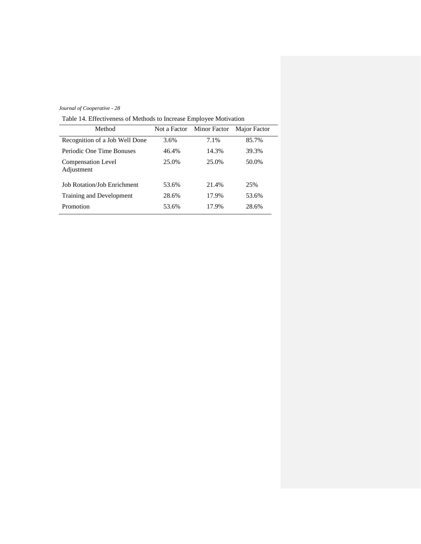Table 14. Effectiveness of Methods to Increase Employee Motivation

| Method                                  |       | Not a Factor Minor Factor | Major Factor |
|-----------------------------------------|-------|---------------------------|--------------|
| Recognition of a Job Well Done          | 3.6%  | 7.1%                      | 85.7%        |
| Periodic One Time Bonuses               | 46.4% | 14.3%                     | 39.3%        |
| <b>Compensation Level</b><br>Adjustment | 25.0% | 25.0%                     | 50.0%        |
| <b>Job Rotation/Job Enrichment</b>      | 53.6% | 21.4%                     | 25%          |
| Training and Development                | 28.6% | 17.9%                     | 53.6%        |
| Promotion                               | 53.6% | 17.9%                     | 28.6%        |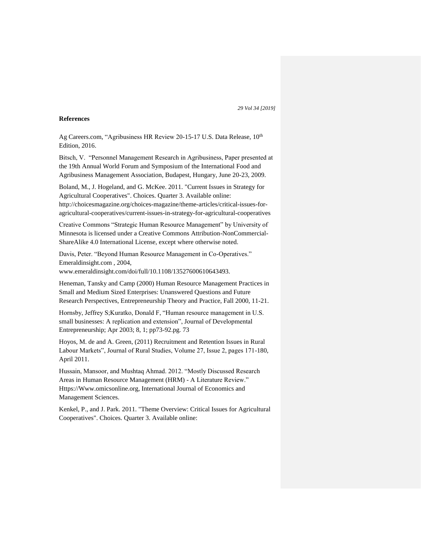#### **References**

Ag Careers.com, "Agribusiness HR Review 20-15-17 U.S. Data Release, 10<sup>th</sup> Edition, 2016.

Bitsch, V. "Personnel Management Research in Agribusiness, Paper presented at the 19th Annual World Forum and Symposium of the International Food and Agribusiness Management Association, Budapest, Hungary, June 20-23, 2009.

Boland, M., J. Hogeland, and G. McKee. 2011. "Current Issues in Strategy for Agricultural Cooperatives". Choices. Quarter 3. Available online: http://choicesmagazine.org/choices-magazine/theme-articles/critical-issues-foragricultural-cooperatives/current-issues-in-strategy-for-agricultural-cooperatives

Creative Commons "Strategic Human Resource Management" by University of Minnesota is licensed under a Creative Commons Attribution-NonCommercial-ShareAlike 4.0 International License, except where otherwise noted.

Davis, Peter. "Beyond Human Resource Management in Co-Operatives." Emeraldinsight.com , 2004,

www.emeraldinsight.com/doi/full/10.1108/13527600610643493.

Heneman, Tansky and Camp (2000) Human Resource Management Practices in Small and Medium Sized Enterprises: Unanswered Questions and Future Research Perspectives, Entrepreneurship Theory and Practice, Fall 2000, 11-21.

Hornsby, Jeffrey S;Kuratko, Donald F, "Human resource management in U.S. small businesses: A replication and extension", Journal of Developmental Entrepreneurship; Apr 2003; 8, 1; pp73-92.pg. 73

Hoyos, M. de and A. Green, (2011) Recruitment and Retention Issues in Rural Labour Markets", Journal of Rural Studies, Volume 27, Issue 2, pages 171-180, April 2011.

Hussain, Mansoor, and Mushtaq Ahmad. 2012. "Mostly Discussed Research Areas in Human Resource Management (HRM) - A Literature Review." Https://Www.omicsonline.org, International Journal of Economics and Management Sciences.

Kenkel, P., and J. Park. 2011. "Theme Overview: Critical Issues for Agricultural Cooperatives". Choices. Quarter 3. Available online: